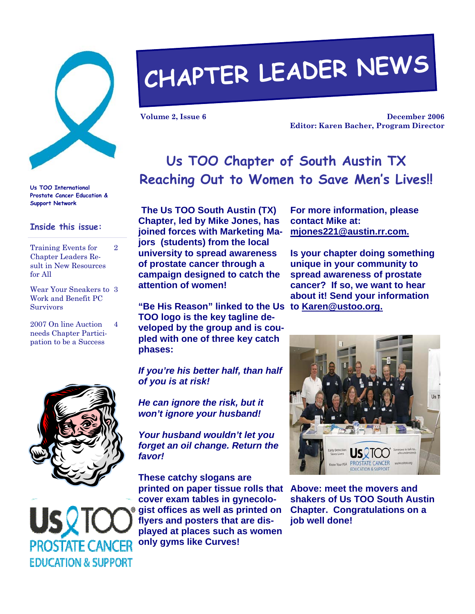

**Us TOO International Prostate Cancer Education & Support Network** 

#### **Inside this issue:**

Training Events for Chapter Leaders Result in New Resources for All 2

Wear Your Sneakers to 3 Work and Benefit PC Survivors

2007 On line Auction needs Chapter Participation to be a Success 4



**EDUCATION & SUPPORT** 

# **CHAPTER LEADER NEWS**

**Volume 2, Issue 6** 

**December 2006 Editor: Karen Bacher, Program Director** 

## **Us TOO Chapter of South Austin TX Reaching Out to Women to Save Men's Lives!!**

**The Us TOO South Austin (TX) Chapter, led by Mike Jones, has joined forces with Marketing Majors (students) from the local university to spread awareness of prostate cancer through a campaign designed to catch the attention of women!** 

**"Be His Reason" linked to the Us to Karen@ustoo.org. TOO logo is the key tagline developed by the group and is coupled with one of three key catch phases:** 

*If you're his better half, than half of you is at risk!* 

*He can ignore the risk, but it won't ignore your husband!* 

*Your husband wouldn't let you forget an oil change. Return the favor!* 

**These catchy slogans are printed on paper tissue rolls that Above: meet the movers and cover exam tables in gynecologist offices as well as printed on flyers and posters that are displayed at places such as women only gyms like Curves!** 

**For more information, please contact Mike at: mjones221@austin.rr.com.**

**Is your chapter doing something unique in your community to spread awareness of prostate cancer? If so, we want to hear about it! Send your information** 



**shakers of Us TOO South Austin Chapter. Congratulations on a job well done!**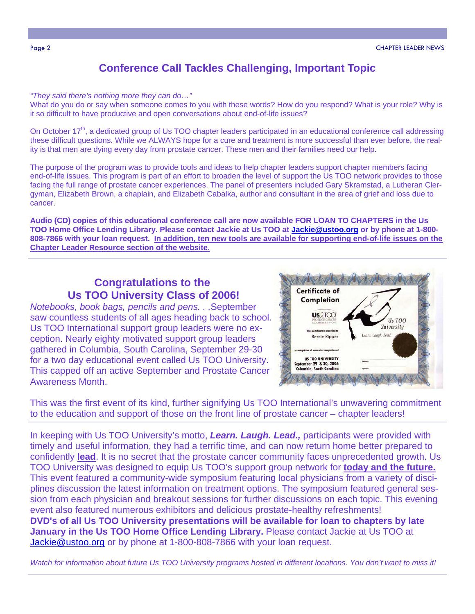### **Conference Call Tackles Challenging, Important Topic**

*"They said there's nothing more they can do…"* 

What do you do or say when someone comes to you with these words? How do you respond? What is your role? Why is it so difficult to have productive and open conversations about end-of-life issues?

On October  $17<sup>th</sup>$ , a dedicated group of Us TOO chapter leaders participated in an educational conference call addressing these difficult questions. While we ALWAYS hope for a cure and treatment is more successful than ever before, the reality is that men are dying every day from prostate cancer. These men and their families need our help.

The purpose of the program was to provide tools and ideas to help chapter leaders support chapter members facing end-of-life issues. This program is part of an effort to broaden the level of support the Us TOO network provides to those facing the full range of prostate cancer experiences. The panel of presenters included Gary Skramstad, a Lutheran Clergyman, Elizabeth Brown, a chaplain, and Elizabeth Cabalka, author and consultant in the area of grief and loss due to cancer.

**Audio (CD) copies of this educational conference call are now available FOR LOAN TO CHAPTERS in the Us TOO Home Office Lending Library. Please contact Jackie at Us TOO at Jackie@ustoo.org or by phone at 1-800- 808-7866 with your loan request. In addition, ten new tools are available for supporting end-of-life issues on the Chapter Leader Resource section of the website.**

#### **Congratulations to the Us TOO University Class of 2006!**

*Notebooks, book bags, pencils and pens. . .*September saw countless students of all ages heading back to school. Us TOO International support group leaders were no exception. Nearly eighty motivated support group leaders gathered in Columbia, South Carolina, September 29-30 for a two day educational event called Us TOO University. This capped off an active September and Prostate Cancer Awareness Month.



This was the first event of its kind, further signifying Us TOO International's unwavering commitment to the education and support of those on the front line of prostate cancer – chapter leaders!

In keeping with Us TOO University's motto, *Learn. Laugh. Lead.,* participants were provided with timely and useful information, they had a terrific time, and can now return home better prepared to confidently **lead**. It is no secret that the prostate cancer community faces unprecedented growth. Us TOO University was designed to equip Us TOO's support group network for **today and the future.** This event featured a community-wide symposium featuring local physicians from a variety of disciplines discussion the latest information on treatment options. The symposium featured general session from each physician and breakout sessions for further discussions on each topic. This evening event also featured numerous exhibitors and delicious prostate-healthy refreshments! **DVD's of all Us TOO University presentations will be available for loan to chapters by late January in the Us TOO Home Office Lending Library.** Please contact Jackie at Us TOO at Jackie@ustoo.org or by phone at 1-800-808-7866 with your loan request.

*Watch for information about future Us TOO University programs hosted in different locations. You don't want to miss it!*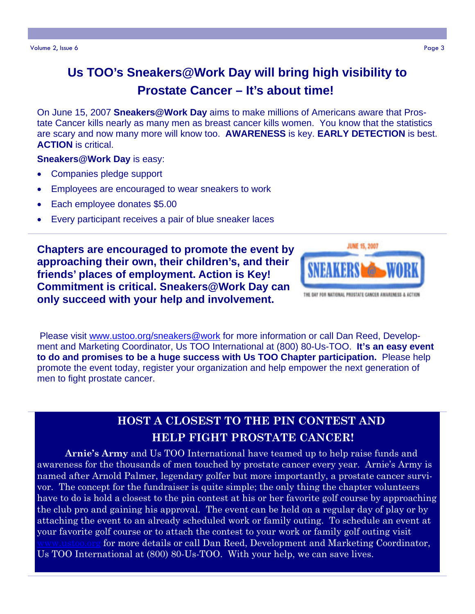## **Us TOO's Sneakers@Work Day will bring high visibility to Prostate Cancer – It's about time!**

On June 15, 2007 **Sneakers@Work Day** aims to make millions of Americans aware that Prostate Cancer kills nearly as many men as breast cancer kills women. You know that the statistics are scary and now many more will know too. **AWARENESS** is key. **EARLY DETECTION** is best. **ACTION** is critical.

#### **Sneakers@Work Day** is easy:

- Companies pledge support
- Employees are encouraged to wear sneakers to work
- Each employee donates \$5.00
- Every participant receives a pair of blue sneaker laces

**Chapters are encouraged to promote the event by approaching their own, their children's, and their friends' places of employment. Action is Key! Commitment is critical. Sneakers@Work Day can only succeed with your help and involvement.** 



Please visit www.ustoo.org/sneakers@work for more information or call Dan Reed, Development and Marketing Coordinator, Us TOO International at (800) 80-Us-TOO. **It's an easy event to do and promises to be a huge success with Us TOO Chapter participation.** Please help promote the event today, register your organization and help empower the next generation of men to fight prostate cancer.

## **HOST A CLOSEST TO THE PIN CONTEST AND HELP FIGHT PROSTATE CANCER!**

**Arnie's Army** and Us TOO International have teamed up to help raise funds and awareness for the thousands of men touched by prostate cancer every year. Arnie's Army is named after Arnold Palmer, legendary golfer but more importantly, a prostate cancer survivor. The concept for the fundraiser is quite simple; the only thing the chapter volunteers have to do is hold a closest to the pin contest at his or her favorite golf course by approaching the club pro and gaining his approval. The event can be held on a regular day of play or by attaching the event to an already scheduled work or family outing. To schedule an event at your favorite golf course or to attach the contest to your work or family golf outing visit for more details or call Dan Reed, Development and Marketing Coordinator, Us TOO International at (800) 80-Us-TOO. With your help, we can save lives.